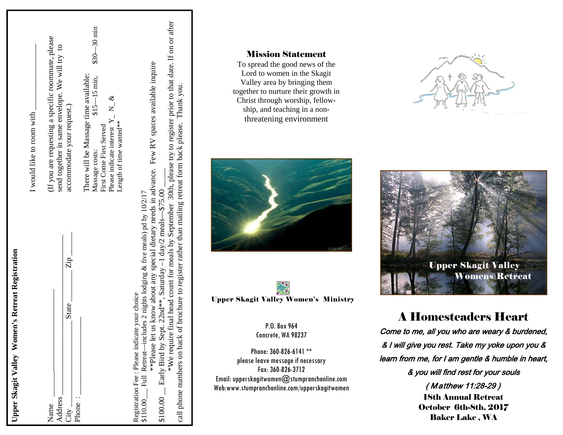| Upper Skagit Valley Women's Retreat Registration                                                                                                                                                                                                                                                                                                                                                                                      |                                                                                                                                                                                             |
|---------------------------------------------------------------------------------------------------------------------------------------------------------------------------------------------------------------------------------------------------------------------------------------------------------------------------------------------------------------------------------------------------------------------------------------|---------------------------------------------------------------------------------------------------------------------------------------------------------------------------------------------|
|                                                                                                                                                                                                                                                                                                                                                                                                                                       | I would like to room with                                                                                                                                                                   |
| $\overline{Z}$<br><b>State</b><br>Address<br>Name<br>$City -$                                                                                                                                                                                                                                                                                                                                                                         | (If you are requesting a specific roommate, please<br>send together in same envelope. We will try to<br>accommodate your request.)                                                          |
| Phone                                                                                                                                                                                                                                                                                                                                                                                                                                 |                                                                                                                                                                                             |
|                                                                                                                                                                                                                                                                                                                                                                                                                                       | $$30 - 30$ min<br>There will be Massage time available:<br>$$15 - 15$ min,<br>Please indicate interest $Y_1 N_2 \&$<br>Length of time wanted**<br>First Come First Served<br>Massage costs: |
| **Please let us know about any special dietary needs in advance. Few RV spaces available inquire<br>call phone numbers on back of brochure to register rather than mailing retreat form back please. Thank you.<br>$$100.00\qquad$ Early Bird by Sept. 22nd**, Saturday -1 day/2 meals- $$75.00$ .<br>\$110.00 Full Retreat—includes 2 nights lodging & five meals) pd by $10/2/17$<br>Registration Fee : Please indicate your choice | *We require final head count for meals by September 30th, please try to register prior to that date. If on or after                                                                         |

# Mission Statement

To spread the good news of the Lord to women in the Skagit Valley area by bringing them together to nurture their growth in Christ through worship, fellowship, and teaching in a nonthreatening environment





P.O. Box 964 Concrete, WA 98237

Phone: 360-826-6141 \*\* please leave message if necessary Fax: 360-826-3712 Email: upperskagitwomen@stumpranchonline.com Web:www.stumpranchonline.com/upperskagitwomen